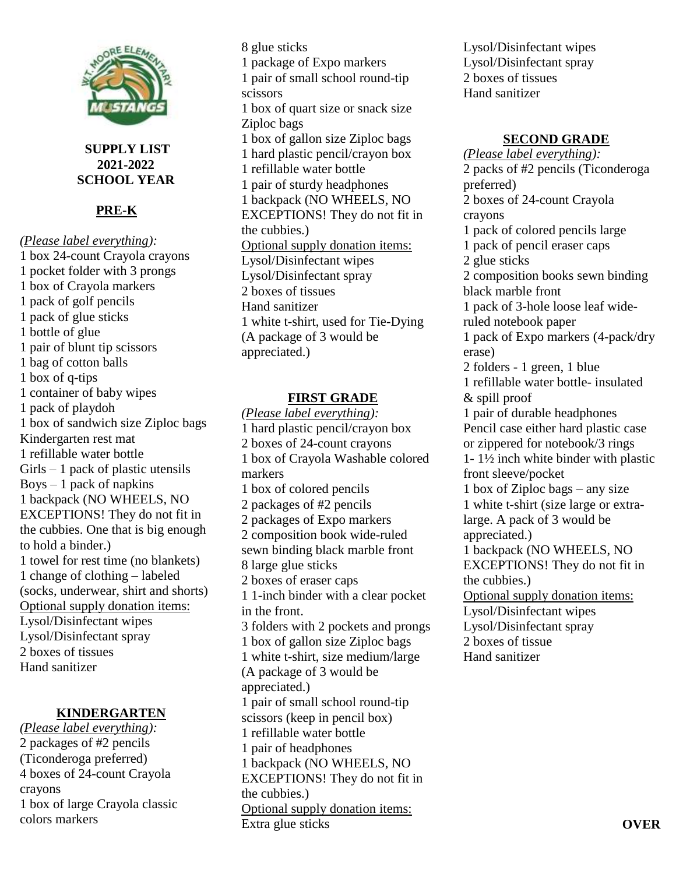

**SUPPLY LIST 2021-2022 SCHOOL YEAR**

# **PRE-K**

*(Please label everything):* 1 box 24-count Crayola crayons 1 pocket folder with 3 prongs 1 box of Crayola markers 1 pack of golf pencils 1 pack of glue sticks 1 bottle of glue 1 pair of blunt tip scissors 1 bag of cotton balls 1 box of q-tips 1 container of baby wipes 1 pack of playdoh 1 box of sandwich size Ziploc bags Kindergarten rest mat 1 refillable water bottle Girls – 1 pack of plastic utensils  $Boys - 1$  pack of napkins 1 backpack (NO WHEELS, NO EXCEPTIONS! They do not fit in the cubbies. One that is big enough to hold a binder.) 1 towel for rest time (no blankets) 1 change of clothing – labeled (socks, underwear, shirt and shorts) Optional supply donation items: Lysol/Disinfectant wipes Lysol/Disinfectant spray 2 boxes of tissues Hand sanitizer

## **KINDERGARTEN**

*(Please label everything):* 2 packages of #2 pencils (Ticonderoga preferred) 4 boxes of 24-count Crayola crayons 1 box of large Crayola classic colors markers

8 glue sticks 1 package of Expo markers 1 pair of small school round-tip scissors 1 box of quart size or snack size Ziploc bags 1 box of gallon size Ziploc bags 1 hard plastic pencil/crayon box 1 refillable water bottle 1 pair of sturdy headphones 1 backpack (NO WHEELS, NO EXCEPTIONS! They do not fit in the cubbies.) Optional supply donation items: Lysol/Disinfectant wipes Lysol/Disinfectant spray 2 boxes of tissues Hand sanitizer 1 white t-shirt, used for Tie-Dying (A package of 3 would be appreciated.)

#### **FIRST GRADE**

*(Please label everything):* 1 hard plastic pencil/crayon box 2 boxes of 24-count crayons 1 box of Crayola Washable colored markers 1 box of colored pencils 2 packages of #2 pencils 2 packages of Expo markers 2 composition book wide-ruled sewn binding black marble front 8 large glue sticks 2 boxes of eraser caps 1 1-inch binder with a clear pocket in the front. 3 folders with 2 pockets and prongs 1 box of gallon size Ziploc bags 1 white t-shirt, size medium/large (A package of 3 would be appreciated.) 1 pair of small school round-tip scissors (keep in pencil box) 1 refillable water bottle 1 pair of headphones 1 backpack (NO WHEELS, NO EXCEPTIONS! They do not fit in the cubbies.) Optional supply donation items: Extra glue sticks

Lysol/Disinfectant wipes Lysol/Disinfectant spray 2 boxes of tissues Hand sanitizer

## **SECOND GRADE**

*(Please label everything):* 2 packs of #2 pencils (Ticonderoga preferred) 2 boxes of 24-count Crayola crayons 1 pack of colored pencils large 1 pack of pencil eraser caps 2 glue sticks 2 composition books sewn binding black marble front 1 pack of 3-hole loose leaf wideruled notebook paper 1 pack of Expo markers (4-pack/dry erase) 2 folders - 1 green, 1 blue 1 refillable water bottle- insulated & spill proof 1 pair of durable headphones Pencil case either hard plastic case or zippered for notebook/3 rings 1- 1½ inch white binder with plastic front sleeve/pocket 1 box of Ziploc bags – any size 1 white t-shirt (size large or extralarge. A pack of 3 would be appreciated.) 1 backpack (NO WHEELS, NO EXCEPTIONS! They do not fit in the cubbies.) Optional supply donation items: Lysol/Disinfectant wipes Lysol/Disinfectant spray 2 boxes of tissue Hand sanitizer